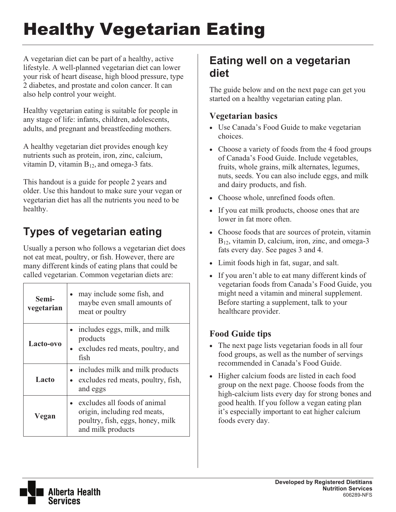# Healthy Vegetarian Eating

A vegetarian diet can be part of a healthy, active lifestyle. A well-planned vegetarian diet can lower your risk of heart disease, high blood pressure, type 2 diabetes, and prostate and colon cancer. It can also help control your weight.

Healthy vegetarian eating is suitable for people in any stage of life: infants, children, adolescents, adults, and pregnant and breastfeeding mothers.

A healthy vegetarian diet provides enough key nutrients such as protein, iron, zinc, calcium, vitamin D, vitamin  $B_{12}$ , and omega-3 fats.

This handout is a guide for people 2 years and older. Use this handout to make sure your vegan or vegetarian diet has all the nutrients you need to be healthy.

## **Types of vegetarian eating**

Usually a person who follows a vegetarian diet does not eat meat, poultry, or fish. However, there are many different kinds of eating plans that could be called vegetarian. Common vegetarian diets are:

| Semi-<br>vegetarian | may include some fish, and<br>maybe even small amounts of<br>meat or poultry                                          |
|---------------------|-----------------------------------------------------------------------------------------------------------------------|
| Lacto-ovo           | includes eggs, milk, and milk<br>products<br>excludes red meats, poultry, and<br>fish                                 |
| Lacto               | includes milk and milk products<br>excludes red meats, poultry, fish,<br>and eggs                                     |
| Vegan               | excludes all foods of animal<br>origin, including red meats,<br>poultry, fish, eggs, honey, milk<br>and milk products |

## **Eating well on a vegetarian diet**

The guide below and on the next page can get you started on a healthy vegetarian eating plan.

#### **Vegetarian basics**

- Use Canada's Food Guide to make vegetarian choices.
- Choose a variety of foods from the 4 food groups of Canada's Food Guide. Include vegetables, fruits, whole grains, milk alternates, legumes, nuts, seeds. You can also include eggs, and milk and dairy products, and fish.
- Choose whole, unrefined foods often.
- If you eat milk products, choose ones that are lower in fat more often.
- Choose foods that are sources of protein, vitamin  $B_{12}$ , vitamin D, calcium, iron, zinc, and omega-3 fats every day. See pages 3 and 4.
- Limit foods high in fat, sugar, and salt.
- If you aren't able to eat many different kinds of vegetarian foods from Canada's Food Guide, you might need a vitamin and mineral supplement. Before starting a supplement, talk to your healthcare provider.

## **Food Guide tips**

- The next page lists vegetarian foods in all four food groups, as well as the number of servings recommended in Canada's Food Guide.
- Higher calcium foods are listed in each food group on the next page. Choose foods from the high-calcium lists every day for strong bones and good health. If you follow a vegan eating plan it's especially important to eat higher calcium foods every day.

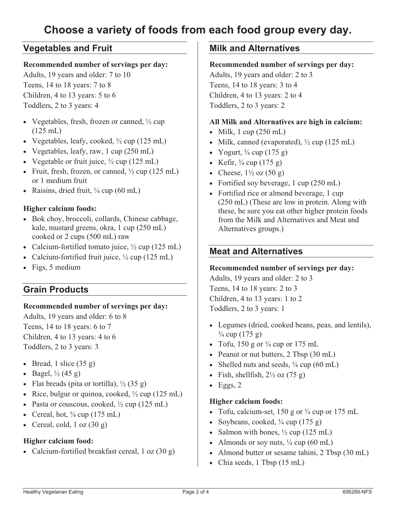#### **Vegetables and Fruit**

#### **Recommended number of servings per day:**

Adults, 19 years and older: 7 to 10 Teens, 14 to 18 years: 7 to 8 Children, 4 to 13 years: 5 to 6 Toddlers, 2 to 3 years: 4

- Vegetables, fresh, frozen or canned, ½ cup (125 mL)
- Vegetables, leafy, cooked, ½ cup (125 mL)
- Vegetables, leafy, raw, 1 cup (250 mL)
- Vegetable or fruit juice,  $\frac{1}{2}$  cup (125 mL)
- Fruit, fresh, frozen, or canned,  $\frac{1}{2}$  cup (125 mL) or 1 medium fruit
- Raisins, dried fruit, 1/4 cup (60 mL)

#### **Higher calcium foods:**

- Bok choy, broccoli, collards, Chinese cabbage, kale, mustard greens, okra, 1 cup (250 mL) cooked or 2 cups (500 mL) raw
- Calcium-fortified tomato juice,  $\frac{1}{2}$  cup (125 mL)
- Calcium-fortified fruit juice,  $\frac{1}{2}$  cup (125 mL)
- Figs, 5 medium

### **Grain Products**

#### **Recommended number of servings per day:**

Adults, 19 years and older: 6 to 8 Teens, 14 to 18 years: 6 to 7 Children, 4 to 13 years: 4 to 6 Toddlers, 2 to 3 years: 3

- Bread, 1 slice  $(35 g)$
- Bagel,  $\frac{1}{2}$  (45 g)
- Flat breads (pita or tortilla),  $\frac{1}{2}$  (35 g)
- Rice, bulgur or quinoa, cooked,  $\frac{1}{2}$  cup (125 mL)
- Pasta or couscous, cooked,  $\frac{1}{2}$  cup (125 mL)
- Cereal, hot,  $\frac{3}{4}$  cup (175 mL)
- Cereal, cold, 1 oz (30 g)

#### **Higher calcium food:**

- Calcium-fortified breakfast cereal, 1 oz (30 g)

## **Milk and Alternatives**

#### **Recommended number of servings per day:**

Adults, 19 years and older: 2 to 3 Teens, 14 to 18 years: 3 to 4 Children, 4 to 13 years: 2 to 4 Toddlers, 2 to 3 years: 2

#### **All Milk and Alternatives are high in calcium:**

- $\bullet$  Milk, 1 cup (250 mL)
- Milk, canned (evaporated),  $\frac{1}{2}$  cup (125 mL)
- Yogurt,  $\frac{3}{4}$  cup (175 g)
- Kefir,  $\frac{3}{4}$  cup (175 g)
- Cheese,  $1\frac{1}{2}$  oz  $(50 \text{ g})$
- Fortified soy beverage, 1 cup (250 mL)
- Fortified rice or almond beverage, 1 cup (250 mL) (These are low in protein. Along with these, be sure you eat other higher protein foods from the Milk and Alternatives and Meat and Alternatives groups.)

#### **Meat and Alternatives**

#### **Recommended number of servings per day:**

Adults, 19 years and older: 2 to 3 Teens, 14 to 18 years: 2 to 3 Children, 4 to 13 years: 1 to 2 Toddlers, 2 to 3 years: 1

- Legumes (dried, cooked beans, peas, and lentils),  $\frac{3}{4}$  cup (175 g)
- Tofu,  $150$  g or  $\frac{3}{4}$  cup or  $175$  mL
- Peanut or nut butters, 2 Tbsp (30 mL)
- Shelled nuts and seeds,  $\frac{1}{4}$  cup (60 mL)
- Fish, shellfish,  $2\frac{1}{2}$  oz (75 g)
- $\bullet$  Eggs, 2

#### **Higher calcium foods:**

- Tofu, calcium-set,  $150$  g or  $\frac{3}{4}$  cup or  $175$  mL
- Soybeans, cooked, <sup>3</sup>/<sub>4</sub> cup (175 g)
- Salmon with bones,  $\frac{1}{2}$  cup (125 mL)
- Almonds or soy nuts,  $\frac{1}{4}$  cup (60 mL)
- Almond butter or sesame tahini, 2 Tbsp (30 mL)
- $\bullet$ Chia seeds, 1 Tbsp (15 mL)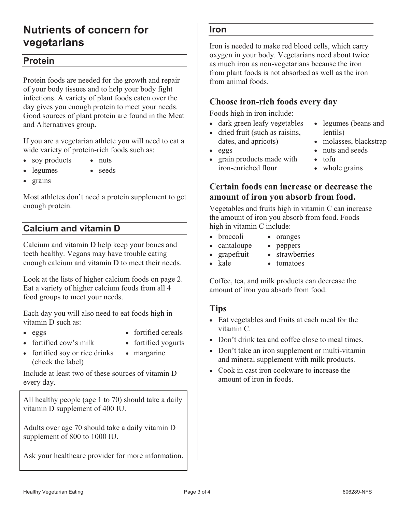## **Nutrients of concern for vegetarians**

#### **Protein**

Protein foods are needed for the growth and repair of your body tissues and to help your body fight infections. A variety of plant foods eaten over the day gives you enough protein to meet your needs. Good sources of plant protein are found in the Meat and Alternatives group**.**

If you are a vegetarian athlete you will need to eat a wide variety of protein-rich foods such as:

• nuts

- soy products
- legumes • seeds
- grains

Most athletes don't need a protein supplement to get enough protein.

#### **Calcium and vitamin D**

Calcium and vitamin D help keep your bones and teeth healthy. Vegans may have trouble eating enough calcium and vitamin D to meet their needs.

Look at the lists of higher calcium foods on page 2. Eat a variety of higher calcium foods from all 4 food groups to meet your needs.

Each day you will also need to eat foods high in vitamin D such as:

- eggs

- fortified cereals
- fortified cow's milk
- fortified yogurts
- fortified soy or rice drinks (check the label)
	- margarine

Include at least two of these sources of vitamin D every day.

All healthy people (age 1 to 70) should take a daily vitamin D supplement of 400 IU.

Adults over age 70 should take a daily vitamin D supplement of 800 to 1000 IU.

Ask your healthcare provider for more information.

#### **Iron**

Iron is needed to make red blood cells, which carry oxygen in your body. Vegetarians need about twice as much iron as non-vegetarians because the iron from plant foods is not absorbed as well as the iron from animal foods.

#### **Choose iron-rich foods every day**

Foods high in iron include:

- dark green leafy vegetables
- dried fruit (such as raisins, dates, and apricots)
- eggs
- grain products made with iron-enriched flour

- legumes (beans and lentils)

- molasses, blackstrap
- nuts and seeds
- tofu
- whole grains

#### **Certain foods can increase or decrease the amount of iron you absorb from food.**

Vegetables and fruits high in vitamin C can increase the amount of iron you absorb from food. Foods high in vitamin C include:

- broccoli
	- oranges
- cantaloupe • peppers
	- grapefruit • strawberries
- kale • tomatoes

Coffee, tea, and milk products can decrease the amount of iron you absorb from food.

#### **Tips**

-

- Eat vegetables and fruits at each meal for the vitamin C.
- Don't drink tea and coffee close to meal times.
- Don't take an iron supplement or multi-vitamin and mineral supplement with milk products.
- Cook in cast iron cookware to increase the amount of iron in foods.